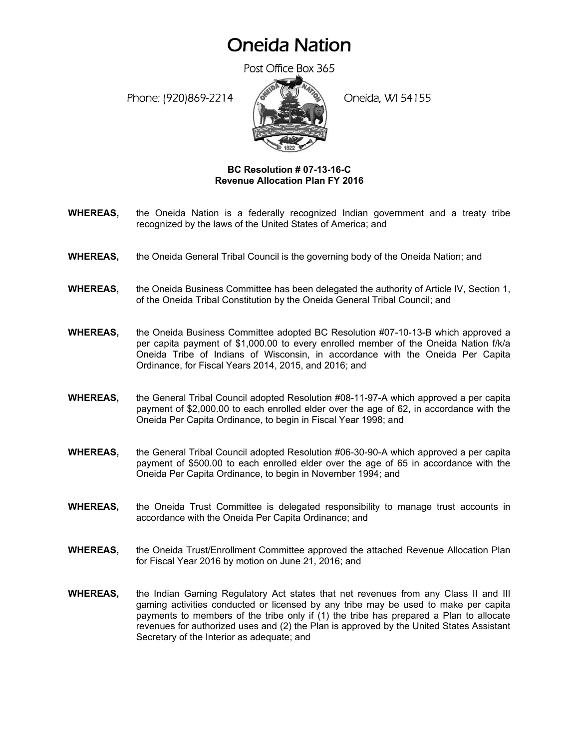## Oneida Nation

Post Office Box 365

Phone: (920)869-2214 (Oneida, WI 54155



## **BC Resolution # 07-13-16-C Revenue Allocation Plan FY 2016**

- **WHEREAS,** the Oneida Nation is a federally recognized Indian government and a treaty tribe recognized by the laws of the United States of America; and
- **WHEREAS,** the Oneida General Tribal Council is the governing body of the Oneida Nation; and
- **WHEREAS,** the Oneida Business Committee has been delegated the authority of Article IV, Section 1, of the Oneida Tribal Constitution by the Oneida General Tribal Council; and
- **WHEREAS,** the Oneida Business Committee adopted BC Resolution #07-10-13-B which approved a per capita payment of \$1,000.00 to every enrolled member of the Oneida Nation f/k/a Oneida Tribe of Indians of Wisconsin, in accordance with the Oneida Per Capita Ordinance, for Fiscal Years 2014, 2015, and 2016; and
- **WHEREAS,** the General Tribal Council adopted Resolution #08-11-97-A which approved a per capita payment of \$2,000.00 to each enrolled elder over the age of 62, in accordance with the Oneida Per Capita Ordinance, to begin in Fiscal Year 1998; and
- **WHEREAS,** the General Tribal Council adopted Resolution #06-30-90-A which approved a per capita payment of \$500.00 to each enrolled elder over the age of 65 in accordance with the Oneida Per Capita Ordinance, to begin in November 1994; and
- **WHEREAS,** the Oneida Trust Committee is delegated responsibility to manage trust accounts in accordance with the Oneida Per Capita Ordinance; and
- **WHEREAS,** the Oneida Trust/Enrollment Committee approved the attached Revenue Allocation Plan for Fiscal Year 2016 by motion on June 21, 2016; and
- **WHEREAS,** the Indian Gaming Regulatory Act states that net revenues from any Class II and III gaming activities conducted or licensed by any tribe may be used to make per capita payments to members of the tribe only if (1) the tribe has prepared a Plan to allocate revenues for authorized uses and (2) the Plan is approved by the United States Assistant Secretary of the Interior as adequate; and